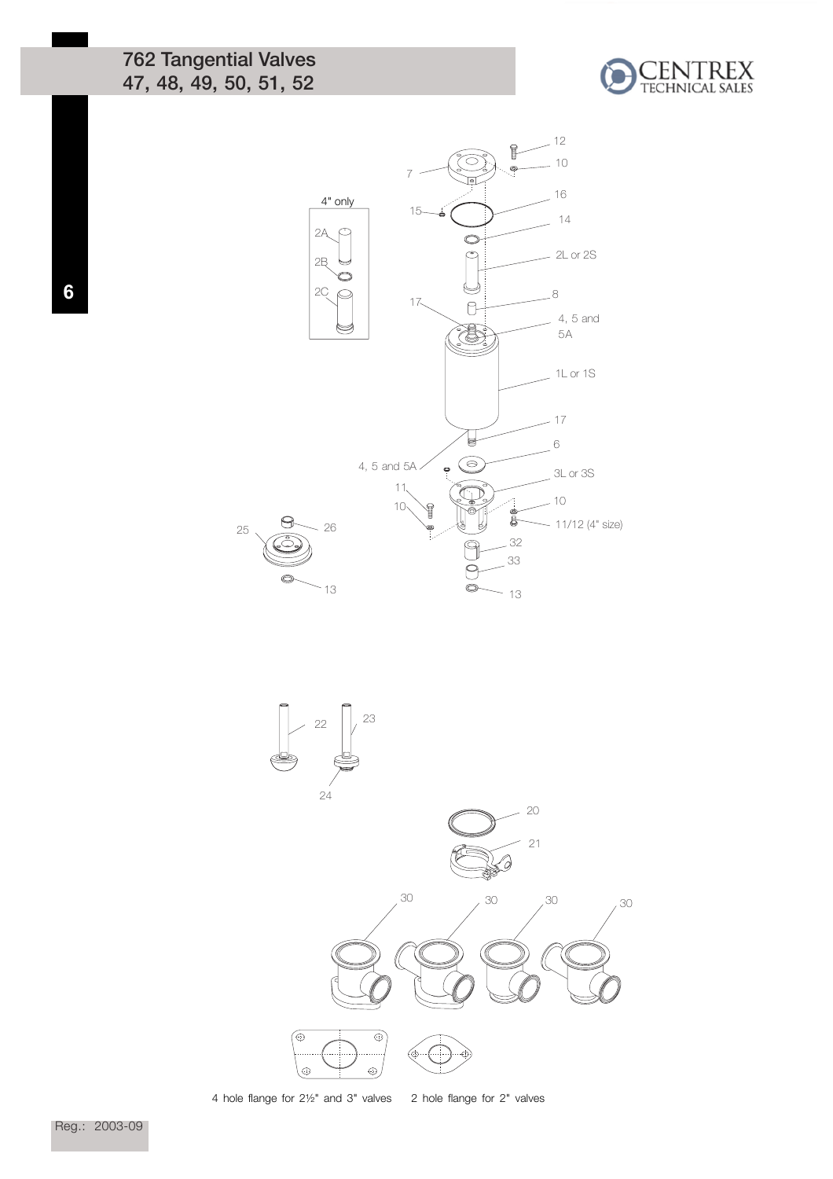762 Tangential Valves 47, 48, 49, 50, 51, 52







4 hole flange for 2½" and 3" valves 2 hole flange for 2" valves

Reg.: 2003-09